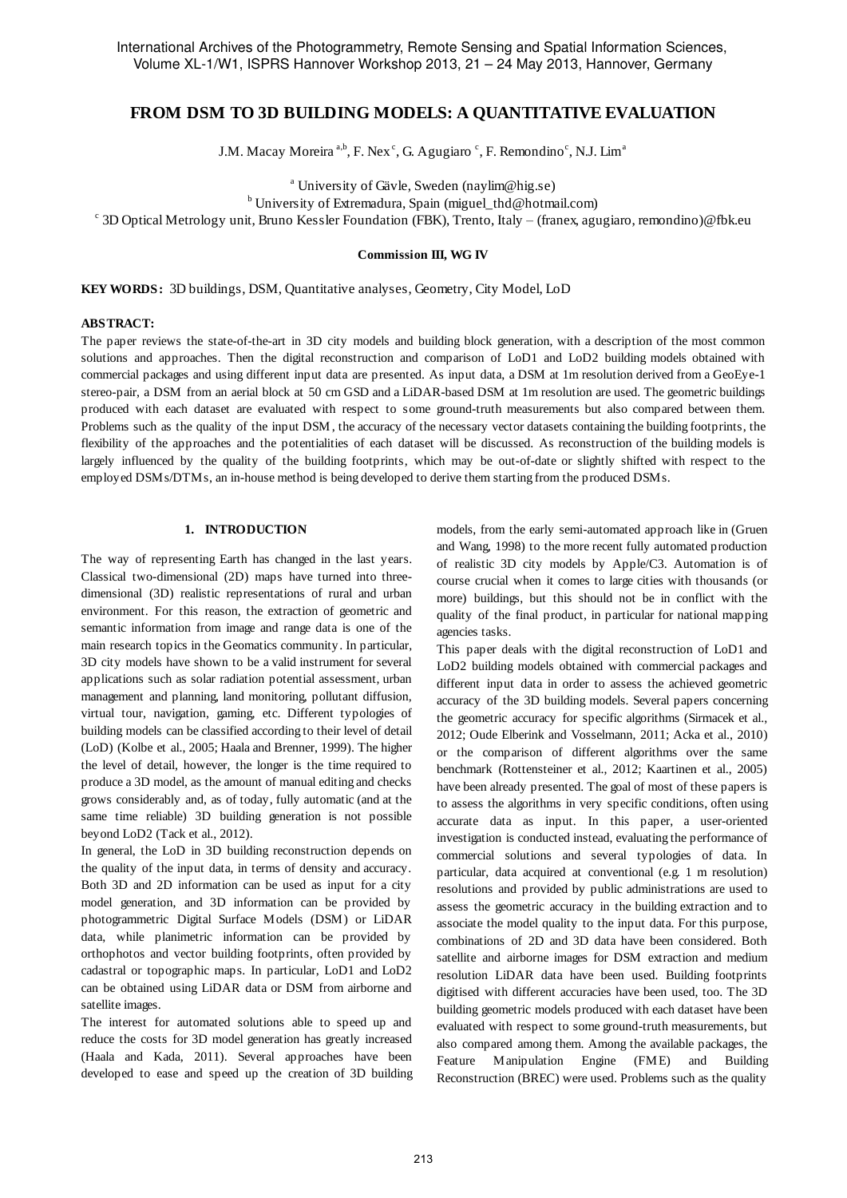# **FROM DSM TO 3D BUILDING MODELS: A QUANTITATIVE EVALUATION**

J.M. Macay Moreira<sup>a,b</sup>, F. Nex<sup>c</sup>, G. Agugiaro<sup>c</sup>, F. Remondino<sup>c</sup>, N.J. Lim<sup>a</sup>

<sup>a</sup> University of Gävle, Sweden (naylim@hig.se)

<sup>b</sup> University of Extremadura, Spain (miguel thd@hotmail.com)

c 3D Optical Metrology unit, Bruno Kessler Foundation (FBK), Trento, Italy – (franex, agugiaro, remondino)@fbk.eu

#### **Commission III, WG IV**

**KEY WORDS:** 3D buildings, DSM, Quantitative analyses, Geometry, City Model, LoD

## **ABSTRACT:**

The paper reviews the state-of-the-art in 3D city models and building block generation, with a description of the most common solutions and approaches. Then the digital reconstruction and comparison of LoD1 and LoD2 building models obtained with commercial packages and using different input data are presented. As input data, a DSM at 1m resolution derived from a GeoEye-1 stereo-pair, a DSM from an aerial block at 50 cm GSD and a LiDAR-based DSM at 1m resolution are used. The geometric buildings produced with each dataset are evaluated with respect to some ground-truth measurements but also compared between them. Problems such as the quality of the input DSM , the accuracy of the necessary vector datasets containing the building footprints, the flexibility of the approaches and the potentialities of each dataset will be discussed. As reconstruction of the building models is largely influenced by the quality of the building footprints, which may be out-of-date or slightly shifted with respect to the employed DSMs/DTMs, an in-house method is being developed to derive them starting from the produced DSMs.

#### **1. INTRODUCTION**

The way of representing Earth has changed in the last years. Classical two-dimensional (2D) maps have turned into threedimensional (3D) realistic representations of rural and urban environment. For this reason, the extraction of geometric and semantic information from image and range data is one of the main research topics in the Geomatics community. In particular, 3D city models have shown to be a valid instrument for several applications such as solar radiation potential assessment, urban management and planning, land monitoring, pollutant diffusion, virtual tour, navigation, gaming, etc. Different typologies of building models can be classified according to their level of detail (LoD) (Kolbe et al., 2005; Haala and Brenner, 1999). The higher the level of detail, however, the longer is the time required to produce a 3D model, as the amount of manual editing and checks grows considerably and, as of today, fully automatic (and at the same time reliable) 3D building generation is not possible beyond LoD2 (Tack et al., 2012).

In general, the LoD in 3D building reconstruction depends on the quality of the input data, in terms of density and accuracy. Both 3D and 2D information can be used as input for a city model generation, and 3D information can be provided by photogrammetric Digital Surface Models (DSM) or LiDAR data, while planimetric information can be provided by orthophotos and vector building footprints, often provided by cadastral or topographic maps. In particular, LoD1 and LoD2 can be obtained using LiDAR data or DSM from airborne and satellite images.

The interest for automated solutions able to speed up and reduce the costs for 3D model generation has greatly increased (Haala and Kada, 2011). Several approaches have been developed to ease and speed up the creation of 3D building models, from the early semi-automated approach like in (Gruen and Wang, 1998) to the more recent fully automated production of realistic 3D city models by Apple/C3. Automation is of course crucial when it comes to large cities with thousands (or more) buildings, but this should not be in conflict with the quality of the final product, in particular for national mapping agencies tasks.

This paper deals with the digital reconstruction of LoD1 and LoD2 building models obtained with commercial packages and different input data in order to assess the achieved geometric accuracy of the 3D building models. Several papers concerning the geometric accuracy for specific algorithms (Sirmacek et al., 2012; Oude Elberink and Vosselmann, 2011; Acka et al., 2010) or the comparison of different algorithms over the same benchmark (Rottensteiner et al., 2012; Kaartinen et al., 2005) have been already presented. The goal of most of these papers is to assess the algorithms in very specific conditions, often using accurate data as input. In this paper, a user-oriented investigation is conducted instead, evaluating the performance of commercial solutions and several typologies of data. In particular, data acquired at conventional (e.g. 1 m resolution) resolutions and provided by public administrations are used to assess the geometric accuracy in the building extraction and to associate the model quality to the input data. For this purpose, combinations of 2D and 3D data have been considered. Both satellite and airborne images for DSM extraction and medium resolution LiDAR data have been used. Building footprints digitised with different accuracies have been used, too. The 3D building geometric models produced with each dataset have been evaluated with respect to some ground-truth measurements, but also compared among them. Among the available packages, the Feature Manipulation Engine (FME) and Building Reconstruction (BREC) were used. Problems such as the quality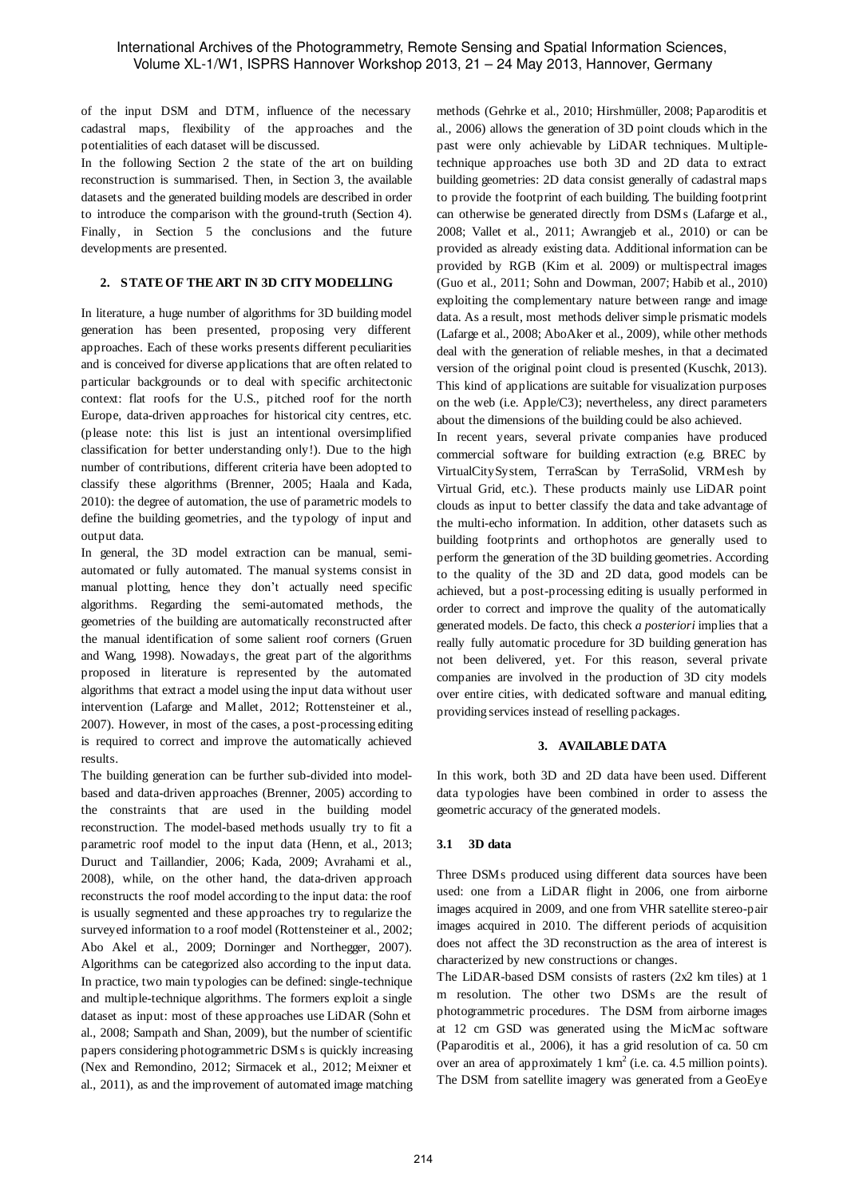of the input DSM and DTM, influence of the necessary cadastral maps, flexibility of the approaches and the potentialities of each dataset will be discussed.

In the following Section 2 the state of the art on building reconstruction is summarised. Then, in Section 3, the available datasets and the generated building models are described in order to introduce the comparison with the ground-truth (Section 4). Finally, in Section 5 the conclusions and the future developments are presented.

## **2. STATE OF THE ART IN 3D CITY MODELLING**

In literature, a huge number of algorithms for 3D building model generation has been presented, proposing very different approaches. Each of these works presents different peculiarities and is conceived for diverse applications that are often related to particular backgrounds or to deal with specific architectonic context: flat roofs for the U.S., pitched roof for the north Europe, data-driven approaches for historical city centres, etc. (please note: this list is just an intentional oversimplified classification for better understanding only!). Due to the high number of contributions, different criteria have been adopted to classify these algorithms (Brenner, 2005; Haala and Kada, 2010): the degree of automation, the use of parametric models to define the building geometries, and the typology of input and output data.

In general, the 3D model extraction can be manual, semiautomated or fully automated. The manual systems consist in manual plotting, hence they don't actually need specific algorithms. Regarding the semi-automated methods, the geometries of the building are automatically reconstructed after the manual identification of some salient roof corners (Gruen and Wang, 1998). Nowadays, the great part of the algorithms proposed in literature is represented by the automated algorithms that extract a model using the input data without user intervention (Lafarge and Mallet, 2012; Rottensteiner et al., 2007). However, in most of the cases, a post-processing editing is required to correct and improve the automatically achieved results.

The building generation can be further sub-divided into modelbased and data-driven approaches (Brenner, 2005) according to the constraints that are used in the building model reconstruction. The model-based methods usually try to fit a parametric roof model to the input data (Henn, et al., 2013; Duruct and Taillandier, 2006; Kada, 2009; Avrahami et al., 2008), while, on the other hand, the data-driven approach reconstructs the roof model according to the input data: the roof is usually segmented and these approaches try to regularize the surveyed information to a roof model (Rottensteiner et al., 2002; Abo Akel et al., 2009; Dorninger and Northegger, 2007). Algorithms can be categorized also according to the input data. In practice, two main typologies can be defined: single-technique and multiple-technique algorithms. The formers exploit a single dataset as input: most of these approaches use LiDAR (Sohn et al., 2008; Sampath and Shan, 2009), but the number of scientific papers considering photogrammetric DSMs is quickly increasing (Nex and Remondino, 2012; Sirmacek et al., 2012; Meixner et al., 2011), as and the improvement of automated image matching methods (Gehrke et al., 2010; Hirshmüller, 2008; Paparoditis et al., 2006) allows the generation of 3D point clouds which in the past were only achievable by LiDAR techniques. Multipletechnique approaches use both 3D and 2D data to extract building geometries: 2D data consist generally of cadastral maps to provide the footprint of each building. The building footprint can otherwise be generated directly from DSMs (Lafarge et al., 2008; Vallet et al., 2011; Awrangjeb et al., 2010) or can be provided as already existing data. Additional information can be provided by RGB (Kim et al. 2009) or multispectral images (Guo et al., 2011; Sohn and Dowman, 2007; Habib et al., 2010) exploiting the complementary nature between range and image data. As a result, most methods deliver simple prismatic models (Lafarge et al., 2008; AboAker et al., 2009), while other methods deal with the generation of reliable meshes, in that a decimated version of the original point cloud is presented (Kuschk, 2013). This kind of applications are suitable for visualization purposes on the web (i.e. Apple/C3); nevertheless, any direct parameters about the dimensions of the building could be also achieved.

In recent years, several private companies have produced commercial software for building extraction (e.g. BREC by VirtualCitySystem, TerraScan by TerraSolid, VRMesh by Virtual Grid, etc.). These products mainly use LiDAR point clouds as input to better classify the data and take advantage of the multi-echo information. In addition, other datasets such as building footprints and orthophotos are generally used to perform the generation of the 3D building geometries. According to the quality of the 3D and 2D data, good models can be achieved, but a post-processing editing is usually performed in order to correct and improve the quality of the automatically generated models. De facto, this check *a posteriori* implies that a really fully automatic procedure for 3D building generation has not been delivered, yet. For this reason, several private companies are involved in the production of 3D city models over entire cities, with dedicated software and manual editing, providing services instead of reselling packages.

## **3. AVAILABLE DATA**

In this work, both 3D and 2D data have been used. Different data typologies have been combined in order to assess the geometric accuracy of the generated models.

# **3.1 3D data**

Three DSMs produced using different data sources have been used: one from a LiDAR flight in 2006, one from airborne images acquired in 2009, and one from VHR satellite stereo-pair images acquired in 2010. The different periods of acquisition does not affect the 3D reconstruction as the area of interest is characterized by new constructions or changes.

The LiDAR-based DSM consists of rasters (2x2 km tiles) at 1 m resolution. The other two DSMs are the result of photogrammetric procedures. The DSM from airborne images at 12 cm GSD was generated using the MicMac software (Paparoditis et al., 2006), it has a grid resolution of ca. 50 cm over an area of approximately  $1 \text{ km}^2$  (i.e. ca. 4.5 million points). The DSM from satellite imagery was generated from a GeoEye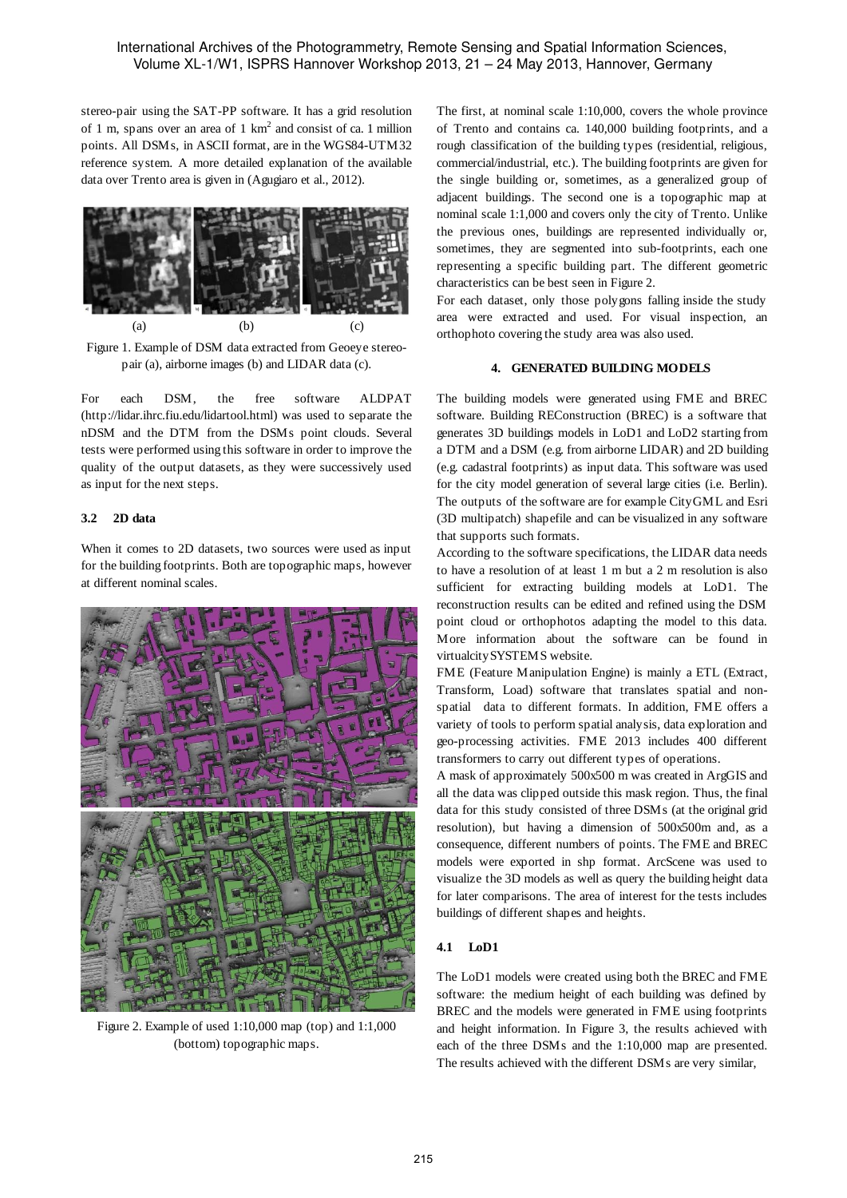stereo-pair using the SAT-PP software. It has a grid resolution of 1 m, spans over an area of 1  $km^2$  and consist of ca. 1 million points. All DSMs, in ASCII format, are in the WGS84-UTM32 reference system. A more detailed explanation of the available data over Trento area is given in (Agugiaro et al., 2012).



Figure 1. Example of DSM data extracted from Geoeye stereopair (a), airborne images (b) and LIDAR data (c).

For each DSM, the free software ALDPAT (http://lidar.ihrc.fiu.edu/lidartool.html) was used to separate the nDSM and the DTM from the DSMs point clouds. Several tests were performed using this software in order to improve the quality of the output datasets, as they were successively used as input for the next steps.

## **3.2 2D data**

When it comes to 2D datasets, two sources were used as input for the building footprints. Both are topographic maps, however at different nominal scales.



Figure 2. Example of used 1:10,000 map (top) and 1:1,000 (bottom) topographic maps.

The first, at nominal scale 1:10,000, covers the whole province of Trento and contains ca. 140,000 building footprints, and a rough classification of the building types (residential, religious, commercial/industrial, etc.). The building footprints are given for the single building or, sometimes, as a generalized group of adjacent buildings. The second one is a topographic map at nominal scale 1:1,000 and covers only the city of Trento. Unlike the previous ones, buildings are represented individually or, sometimes, they are segmented into sub-footprints, each one representing a specific building part. The different geometric characteristics can be best seen in Figure 2.

For each dataset, only those polygons falling inside the study area were extracted and used. For visual inspection, an orthophoto covering the study area was also used.

## **4. GENERATED BUILDING MODELS**

The building models were generated using FME and BREC software. Building REConstruction (BREC) is a software that generates 3D buildings models in LoD1 and LoD2 starting from a DTM and a DSM (e.g. from airborne LIDAR) and 2D building (e.g. cadastral footprints) as input data. This software was used for the city model generation of several large cities (i.e. Berlin). The outputs of the software are for example CityGML and Esri (3D multipatch) shapefile and can be visualized in any software that supports such formats.

According to the software specifications, the LIDAR data needs to have a resolution of at least 1 m but a 2 m resolution is also sufficient for extracting building models at LoD1. The reconstruction results can be edited and refined using the DSM point cloud or orthophotos adapting the model to this data. More information about the software can be found in virtualcitySYSTEMS website.

FME (Feature Manipulation Engine) is mainly a ETL (Extract, Transform, Load) software that translates spatial and nonspatial data to different formats. In addition, FME offers a variety of tools to perform spatial analysis, data exploration and geo-processing activities. FME 2013 includes 400 different transformers to carry out different types of operations.

A mask of approximately 500x500 m was created in ArgGIS and all the data was clipped outside this mask region. Thus, the final data for this study consisted of three DSMs (at the original grid resolution), but having a dimension of 500x500m and, as a consequence, different numbers of points. The FME and BREC models were exported in shp format. ArcScene was used to visualize the 3D models as well as query the building height data for later comparisons. The area of interest for the tests includes buildings of different shapes and heights.

# **4.1 LoD1**

The LoD1 models were created using both the BREC and FME software: the medium height of each building was defined by BREC and the models were generated in FME using footprints and height information. In Figure 3, the results achieved with each of the three DSMs and the 1:10,000 map are presented. The results achieved with the different DSMs are very similar,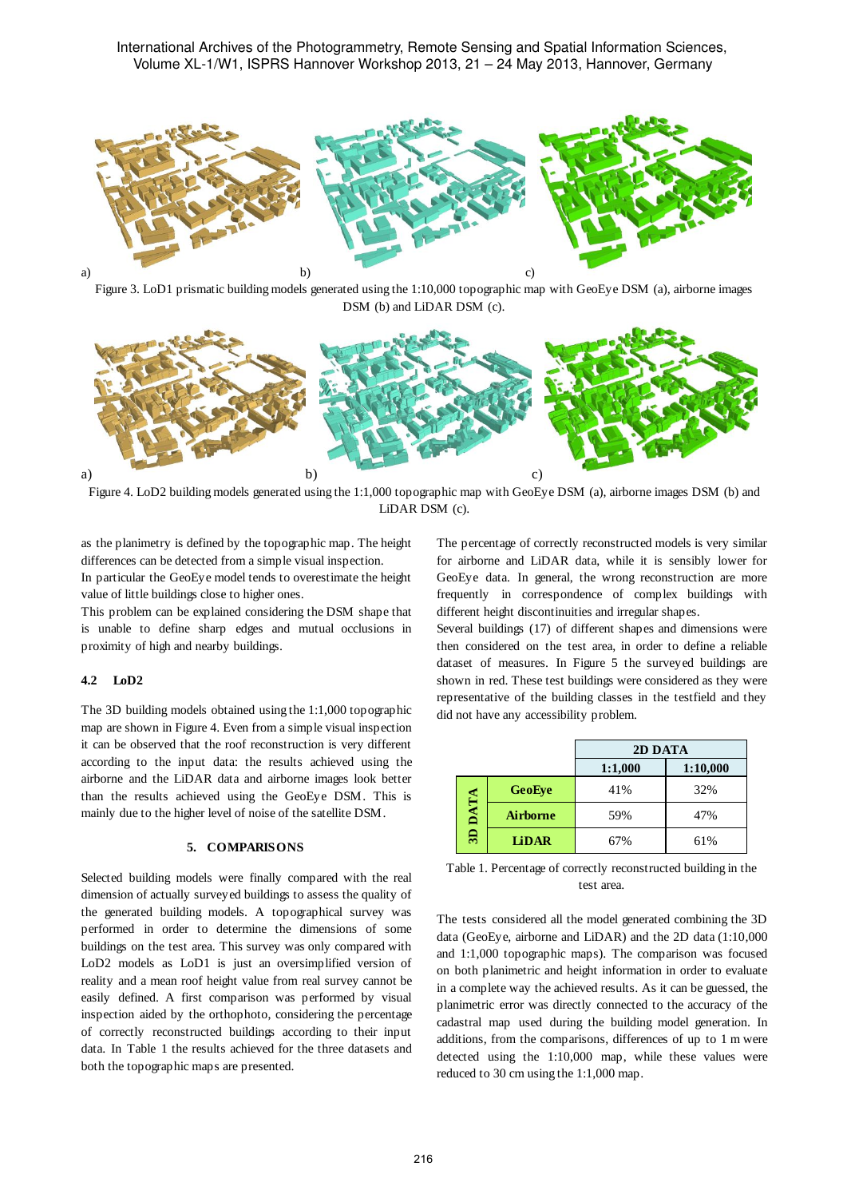International Archives of the Photogrammetry, Remote Sensing and Spatial Information Sciences, Volume XL-1/W1, ISPRS Hannover Workshop 2013, 21 – 24 May 2013, Hannover, Germany



Figure 3. LoD1 prismatic building models generated using the 1:10,000 topographic map with GeoEye DSM (a), airborne images DSM (b) and LiDAR DSM (c).



Figure 4. LoD2 building models generated using the 1:1,000 topographic map with GeoEye DSM (a), airborne images DSM (b) and LiDAR DSM (c).

as the planimetry is defined by the topographic map. The height differences can be detected from a simple visual inspection. In particular the GeoEye model tends to overestimate the height value of little buildings close to higher ones.

This problem can be explained considering the DSM shape that is unable to define sharp edges and mutual occlusions in proximity of high and nearby buildings.

#### **4.2 LoD2**

The 3D building models obtained using the 1:1,000 topographic map are shown in Figure 4. Even from a simple visual inspection it can be observed that the roof reconstruction is very different according to the input data: the results achieved using the airborne and the LiDAR data and airborne images look better than the results achieved using the GeoEye DSM. This is mainly due to the higher level of noise of the satellite DSM.

# **5. COMPARISONS**

Selected building models were finally compared with the real dimension of actually surveyed buildings to assess the quality of the generated building models. A topographical survey was performed in order to determine the dimensions of some buildings on the test area. This survey was only compared with LoD2 models as LoD1 is just an oversimplified version of reality and a mean roof height value from real survey cannot be easily defined. A first comparison was performed by visual inspection aided by the orthophoto, considering the percentage of correctly reconstructed buildings according to their input data. In Table 1 the results achieved for the three datasets and both the topographic maps are presented.

The percentage of correctly reconstructed models is very similar for airborne and LiDAR data, while it is sensibly lower for GeoEye data. In general, the wrong reconstruction are more frequently in correspondence of complex buildings with different height discontinuities and irregular shapes.

Several buildings (17) of different shapes and dimensions were then considered on the test area, in order to define a reliable dataset of measures. In Figure 5 the surveyed buildings are shown in red. These test buildings were considered as they were representative of the building classes in the testfield and they did not have any accessibility problem.

|         |                 | 2D DATA |          |
|---------|-----------------|---------|----------|
|         |                 | 1:1,000 | 1:10,000 |
| 3D DATA | GeoEye          | 41%     | 32%      |
|         | <b>Airborne</b> | 59%     | 47%      |
|         | <b>LiDAR</b>    | 67%     | 61%      |

Table 1. Percentage of correctly reconstructed building in the test area.

The tests considered all the model generated combining the 3D data (GeoEye, airborne and LiDAR) and the 2D data (1:10,000 and 1:1,000 topographic maps). The comparison was focused on both planimetric and height information in order to evaluate in a complete way the achieved results. As it can be guessed, the planimetric error was directly connected to the accuracy of the cadastral map used during the building model generation. In additions, from the comparisons, differences of up to 1 m were detected using the 1:10,000 map, while these values were reduced to 30 cm using the 1:1,000 map.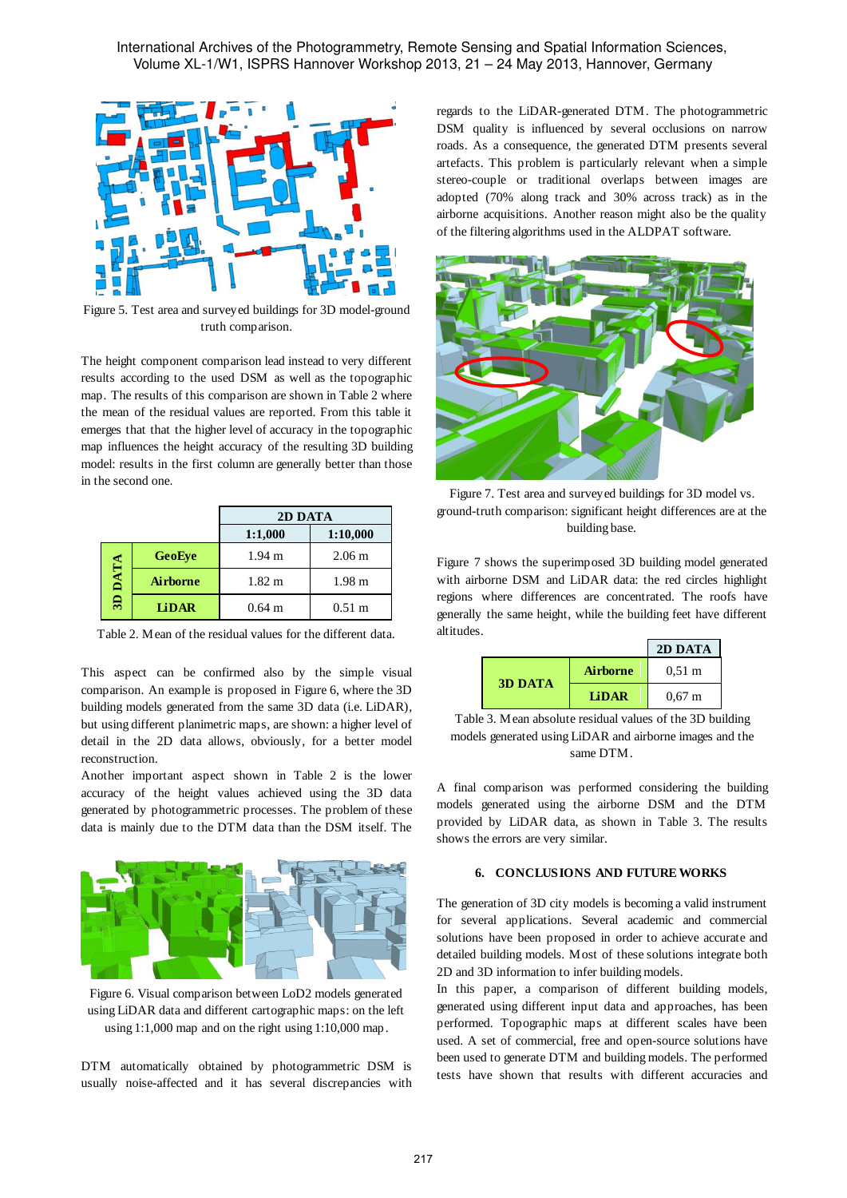

Figure 5. Test area and surveyed buildings for 3D model-ground truth comparison.

The height component comparison lead instead to very different results according to the used DSM as well as the topographic map. The results of this comparison are shown in Table 2 where the mean of the residual values are reported. From this table it emerges that that the higher level of accuracy in the topographic map influences the height accuracy of the resulting 3D building model: results in the first column are generally better than those in the second one.

|                 |                 | 2D DATA          |                   |
|-----------------|-----------------|------------------|-------------------|
|                 |                 | 1:1,000          | 1:10,000          |
|                 | GeoEye          | $1.94 \text{ m}$ | 2.06 <sub>m</sub> |
| <b>ATA</b><br>∍ | <b>Airborne</b> | $1.82 \text{ m}$ | 1.98 <sub>m</sub> |
| ඝ               | <b>LiDAR</b>    | $0.64 \text{ m}$ | $0.51 \text{ m}$  |

Table 2. Mean of the residual values for the different data.

This aspect can be confirmed also by the simple visual comparison. An example is proposed in Figure 6, where the 3D building models generated from the same 3D data (i.e. LiDAR), but using different planimetric maps, are shown: a higher level of detail in the 2D data allows, obviously, for a better model reconstruction.

Another important aspect shown in Table 2 is the lower accuracy of the height values achieved using the 3D data generated by photogrammetric processes. The problem of these data is mainly due to the DTM data than the DSM itself. The



Figure 6. Visual comparison between LoD2 models generated using LiDAR data and different cartographic maps: on the left using 1:1,000 map and on the right using 1:10,000 map.

DTM automatically obtained by photogrammetric DSM is usually noise-affected and it has several discrepancies with

regards to the LiDAR-generated DTM. The photogrammetric DSM quality is influenced by several occlusions on narrow roads. As a consequence, the generated DTM presents several artefacts. This problem is particularly relevant when a simple stereo-couple or traditional overlaps between images are adopted (70% along track and 30% across track) as in the airborne acquisitions. Another reason might also be the quality of the filtering algorithms used in the ALDPAT software.



Figure 7. Test area and surveyed buildings for 3D model vs. ground-truth comparison: significant height differences are at the building base.

Figure 7 shows the superimposed 3D building model generated with airborne DSM and LiDAR data: the red circles highlight regions where differences are concentrated. The roofs have generally the same height, while the building feet have different altitudes.

|  |                |                 | 2D DATA          |
|--|----------------|-----------------|------------------|
|  | <b>3D DATA</b> | <b>Airborne</b> | $0.51 \text{ m}$ |
|  |                | <b>TiDAR</b>    | $0.67 \;{\rm m}$ |

Table 3. Mean absolute residual values of the 3D building models generated using LiDAR and airborne images and the same DTM.

A final comparison was performed considering the building models generated using the airborne DSM and the DTM provided by LiDAR data, as shown in Table 3. The results shows the errors are very similar.

## **6. CONCLUSIONS AND FUTURE WORKS**

The generation of 3D city models is becoming a valid instrument for several applications. Several academic and commercial solutions have been proposed in order to achieve accurate and detailed building models. Most of these solutions integrate both 2D and 3D information to infer building models.

In this paper, a comparison of different building models, generated using different input data and approaches, has been performed. Topographic maps at different scales have been used. A set of commercial, free and open-source solutions have been used to generate DTM and building models. The performed tests have shown that results with different accuracies and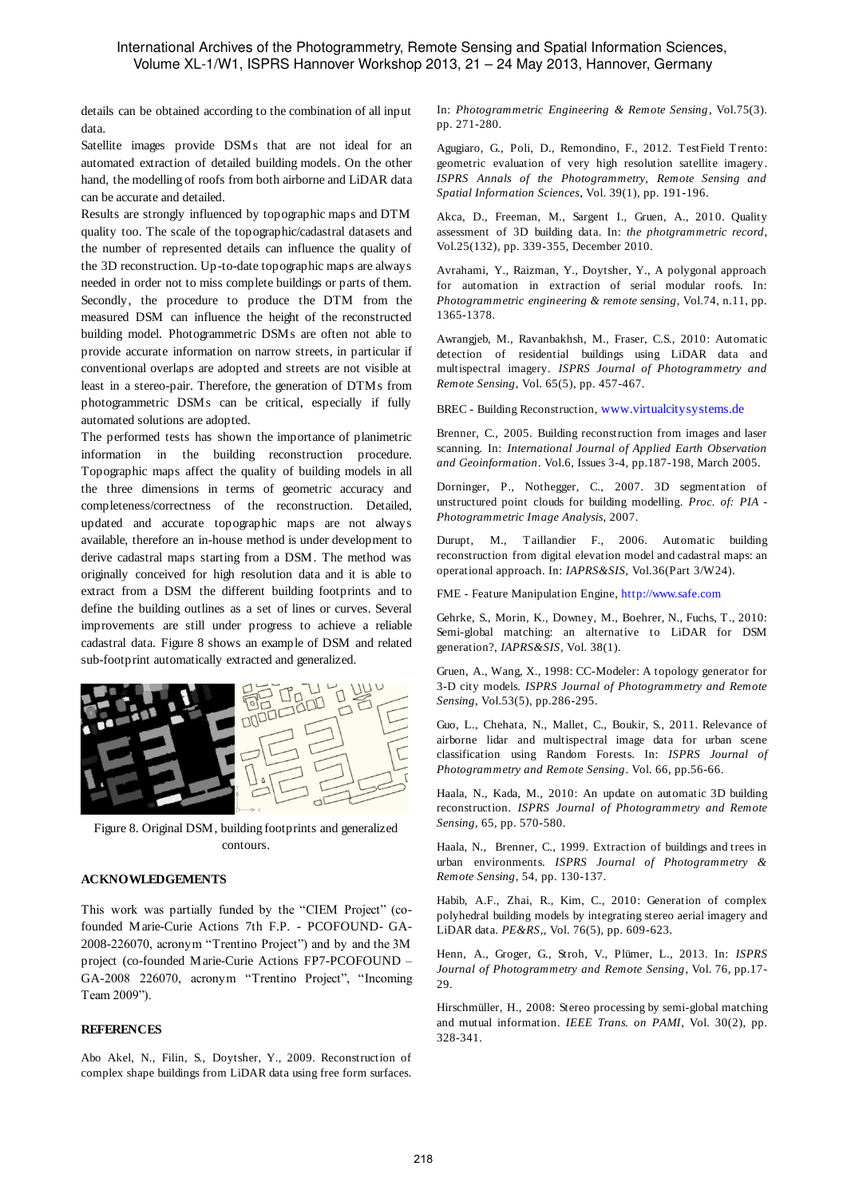## International Archives of the Photogrammetry, Remote Sensing and Spatial Information Sciences, Volume XL-1/W1, ISPRS Hannover Workshop 2013, 21 – 24 May 2013, Hannover, Germany

details can be obtained according to the combination of all input data.

Satellite images provide DSMs that are not ideal for an automated extraction of detailed building models. On the other hand, the modelling of roofs from both airborne and LiDAR data can be accurate and detailed.

Results are strongly influenced by topographic maps and DTM quality too. The scale of the topographic/cadastral datasets and the number of represented details can influence the quality of the 3D reconstruction. Up-to-date topographic maps are always needed in order not to miss complete buildings or parts of them. Secondly, the procedure to produce the DTM from the measured DSM can influence the height of the reconstructed building model. Photogrammetric DSMs are often not able to provide accurate information on narrow streets, in particular if conventional overlaps are adopted and streets are not visible at least in a stereo-pair. Therefore, the generation of DTMs from photogrammetric DSMs can be critical, especially if fully automated solutions are adopted.

The performed tests has shown the importance of planimetric information in the building reconstruction procedure. Topographic maps affect the quality of building models in all the three dimensions in terms of geometric accuracy and completeness/correctness of the reconstruction. Detailed, updated and accurate topographic maps are not always available, therefore an in-house method is under development to derive cadastral maps starting from a DSM. The method was originally conceived for high resolution data and it is able to extract from a DSM the different building footprints and to define the building outlines as a set of lines or curves. Several improvements are still under progress to achieve a reliable cadastral data. Figure 8 shows an example of DSM and related sub-footprint automatically extracted and generalized.



Figure 8. Original DSM, building footprints and generalized contours.

## **ACKNOWLEDGEMENTS**

This work was partially funded by the "CIEM Project" (cofounded Marie-Curie Actions 7th F.P. - PCOFOUND- GA-2008-226070, acronym "Trentino Project") and by and the 3M project (co-founded Marie-Curie Actions FP7-PCOFOUND – GA-2008 226070, acronym "Trentino Project", "Incoming Team 2009").

#### **REFERENCES**

Abo Akel, N., Filin, S., Doytsher, Y., 2009. Reconstruction of complex shape buildings from LiDAR data using free form surfaces.

In: *Photogrammetric Engineering & Remote Sensing*, Vol.75(3). pp. 271-280.

Agugiaro, G., Poli, D., Remondino, F., 2012. TestField Trento: geometric evaluation of very high resolution satellite imagery. *ISPRS Annals of the Photogrammetry, Remote Sensing and Spatial Information Sciences*, Vol. 39(1), pp. 191-196.

Akca, D., Freeman, M., Sargent I., Gruen, A., 2010. Quality assessment of 3D building data. In: *the photgrammetric record*, Vol.25(132), pp. 339-355, December 2010.

Avrahami, Y., Raizman, Y., Doytsher, Y., A polygonal approach for automation in extraction of serial modular roofs. In: *Photogrammetric engineering & remote sensing*, Vol.74, n.11, pp. 1365-1378.

Awrangjeb, M., Ravanbakhsh, M., Fraser, C.S., 2010: Automatic detection of residential buildings using LiDAR data and multispectral imagery. *ISPRS Journal of Photogrammetry and Remote Sensing*, Vol. 65(5), pp. 457-467.

BREC - Building Reconstruction, www.virtualcitysystems.de

Brenner, C., 2005. Building reconstruction from images and laser scanning. In: *International Journal of Applied Earth Observation and Geoinformation*. Vol.6, Issues 3-4, pp.187-198, March 2005.

Dorninger, P., Nothegger, C., 2007. 3D segmentation of unstructured point clouds for building modelling. *Proc. of: PIA - Photogrammetric Image Analysis*, 2007.

Durupt, M., Taillandier F., 2006. Automatic building reconstruction from digital elevation model and cadastral maps: an operational approach. In: *IAPRS&SIS,* Vol.36(Part 3/W24).

FME - Feature Manipulation Engine, http://www.safe.com

Gehrke, S., Morin, K., Downey, M., Boehrer, N., Fuchs, T., 2010: Semi-global matching: an alternative to LiDAR for DSM generation?, *IAPRS&SIS*, Vol. 38(1).

Gruen, A., Wang, X., 1998: CC-Modeler: A topology generator for 3-D city models. *ISPRS Journal of Photogrammetry and Remote Sensing*, Vol.53(5), pp.286-295.

Guo, L., Chehata, N., Mallet, C., Boukir, S., 2011. Relevance of airborne lidar and multispectral image data for urban scene classification using Random Forests. In: *ISPRS Journal of Photogrammetry and Remote Sensing*. Vol. 66, pp.56-66.

Haala, N., Kada, M., 2010: An update on automatic 3D building reconstruction. *ISPRS Journal of Photogrammetry and Remote Sensing*, 65, pp. 570-580.

Haala, N., Brenner, C., 1999. Extraction of buildings and trees in urban environments. *ISPRS Journal of Photogrammetry & Remote Sensing*, 54, pp. 130-137.

Habib, A.F., Zhai, R., Kim, C., 2010: Generation of complex polyhedral building models by integrating stereo aerial imagery and LiDAR data. *PE&RS*,, Vol. 76(5), pp. 609-623.

Henn, A., Groger, G., Stroh, V., Plümer, L., 2013. In: *ISPRS Journal of Photogrammetry and Remote Sensing*, Vol. 76, pp.17- 29.

Hirschmüller, H., 2008: Stereo processing by semi-global matching and mutual information. *IEEE Trans. on PAMI*, Vol. 30(2), pp. 328-341.